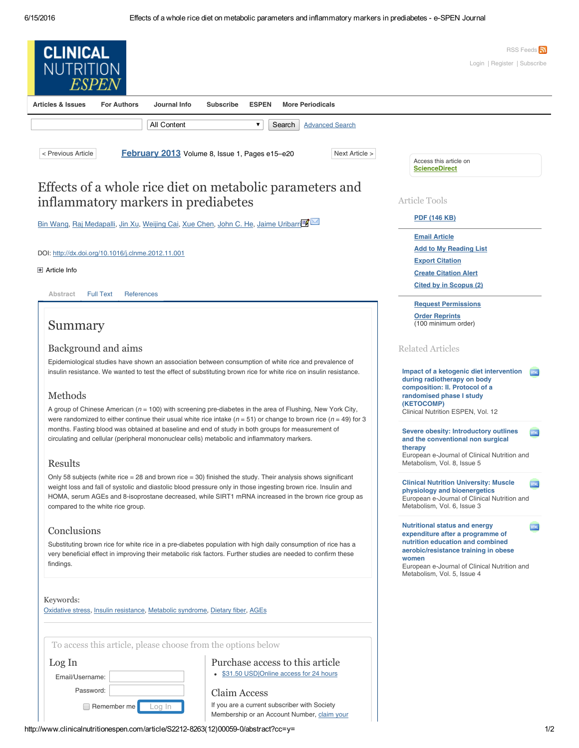